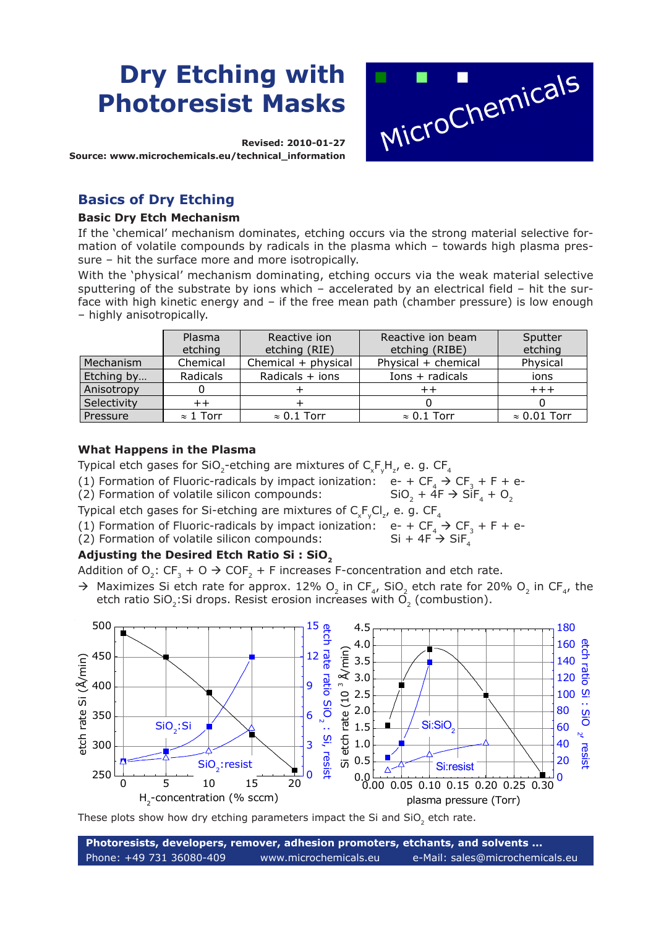# **Dry Etching with Photoresist Masks**

**Revised: 2010-01-27 Source: www.microchemicals.eu/technical\_information**

# **Basics of Dry Etching**

#### **Basic Dry Etch Mechanism**

If the 'chemical' mechanism dominates, etching occurs via the strong material selective formation of volatile compounds by radicals in the plasma which – towards high plasma pressure – hit the surface more and more isotropically.

With the 'physical' mechanism dominating, etching occurs via the weak material selective sputtering of the substrate by ions which – accelerated by an electrical field – hit the surface with high kinetic energy and – if the free mean path (chamber pressure) is low enough – highly anisotropically.

|             | Plasma           | Reactive ion        | Reactive ion beam   | Sputter             |
|-------------|------------------|---------------------|---------------------|---------------------|
|             | etching          | etching (RIE)       | etching (RIBE)      | etching             |
| Mechanism   | Chemical         | Chemical + physical | Physical + chemical | Physical            |
| Etching by  | Radicals         | Radicals $+$ ions   | $Ions + radicals$   | ions                |
| Anisotropy  |                  |                     |                     | $++++$              |
| Selectivity | $^{\mathrm{+}}$  |                     |                     |                     |
| Pressure    | $\approx$ 1 Torr | $\approx 0.1$ Torr  | $\approx 0.1$ Torr  | $\approx 0.01$ Torr |

#### **What Happens in the Plasma**

Typical etch gases for SiO<sub>2</sub>-etching are mixtures of  $\mathsf{C}_{\mathsf{x}}\mathsf{F}_{\mathsf{y}}\mathsf{H}_{\mathsf{z}}$ , e. g. CF<sub>4</sub>

(1) Formation of Fluoric-radicals by impact ionization:  $e^- + CF_4 \rightarrow CF_3 + F + e^-$ <br>(2) Formation of volatile silicon compounds: SiO<sub>2</sub> + 4F  $\rightarrow$  SiF<sub>4</sub> + O<sub>2</sub>

(2) Formation of volatile silicon compounds:

Typical etch gases for Si-etching are mixtures of  $\mathsf{C}_{\mathsf{x}}\mathsf{F}_{\mathsf{y}}\mathsf{Cl}_{\mathsf{z}'}$  e. g.  $\mathsf{CF}_{\mathsf{4}}$ 

- (1) Formation of Fluoric-radicals by impact ionization:  $e^- + CF_4 \rightarrow CF_3 + F + e^-$ <br>(2) Formation of volatile silicon compounds: Si + 4F  $\rightarrow$  SiF<sub>4</sub>
- $(2)$  Formation of volatile silicon compounds:

#### Adjusting the Desired Etch Ratio Si: SiO<sub>2</sub>

Addition of O<sub>2</sub>: CF<sub>3</sub> + O  $\rightarrow$  COF<sub>2</sub> + F increases F-concentration and etch rate.

 $\rightarrow$  Maximizes Si etch rate for approx. 12% O<sub>2</sub> in CF<sub>4</sub>, SiO<sub>2</sub> etch rate for 20% O<sub>2</sub> in CF<sub>4</sub>, the etch ratio SiO<sub>2</sub>:Si drops. Resist erosion increases with  $\vec{O}_2$  (combustion).



These plots show how dry etching parameters impact the Si and SiO<sub>2</sub> etch rate.

**Photoresists, developers, remover, adhesion promoters, etchants, and solvents ...** Phone: +49 731 36080-409 www.microchemicals.eu e-Mail: sales@microchemicals.eu

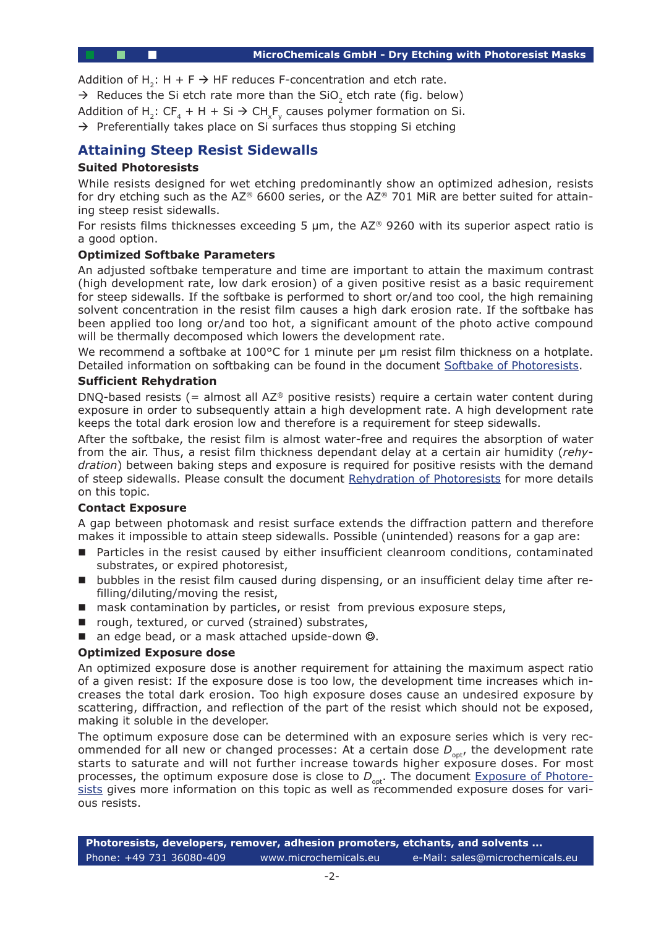Addition of H<sub>2</sub>: H + F  $\rightarrow$  HF reduces F-concentration and etch rate.

 $\rightarrow$  Reduces the Si etch rate more than the SiO<sub>2</sub> etch rate (fig. below)

Addition of H<sub>2</sub>: CF<sub>4</sub> + H + Si  $\rightarrow$  CH<sub>y</sub>F<sub>y</sub> causes polymer formation on Si.

 $\rightarrow$  Preferentially takes place on Si surfaces thus stopping Si etching

#### **Attaining Steep Resist Sidewalls**

#### **Suited Photoresists**

While resists designed for wet etching predominantly show an optimized adhesion, resists for dry etching such as the  $AZ^{\otimes}$  6600 series, or the A $Z^{\otimes}$  701 MiR are better suited for attaining steep resist sidewalls.

For resists films thicknesses exceeding 5  $\mu$ m, the AZ® 9260 with its superior aspect ratio is a good option.

#### **Optimized Softbake Parameters**

An adjusted softbake temperature and time are important to attain the maximum contrast (high development rate, low dark erosion) of a given positive resist as a basic requirement for steep sidewalls. If the softbake is performed to short or/and too cool, the high remaining solvent concentration in the resist film causes a high dark erosion rate. If the softbake has been applied too long or/and too hot, a significant amount of the photo active compound will be thermally decomposed which lowers the development rate.

We recommend a softbake at 100°C for 1 minute per um resist film thickness on a hotplate. Detailed information on softbaking can be found in the document Softbake of Photoresists.

#### **Sufficient Rehydration**

DNQ-based resists (= almost all  $AZ^{\otimes}$  positive resists) require a certain water content during exposure in order to subsequently attain a high development rate. A high development rate keeps the total dark erosion low and therefore is a requirement f[or steep sidewalls.](http://www.microchemicals.com/technical_information/softbake_photoresist.pdf)

After the softbake, the resist film is almost water-free and requires the absorption of water from the air. Thus, a resist film thickness dependant delay at a certain air humidity (*rehydration*) between baking steps and exposure is required for positive resists with the demand of steep sidewalls. Please consult the document Rehydration of Photoresists for more details on this topic.

#### **Contact Exposure**

A gap between photomask and resist surface extends the diffraction pattern and therefore makes it impossible to attain steep sidewalls. Po[ssible \(unintended\) reasons](http://www.microchemicals.eu/technical_information/photoresist_rehydration.pdf) for a gap are:

- Particles in the resist caused by either insufficient cleanroom conditions, contaminated substrates, or expired photoresist,
- bubbles in the resist film caused during dispensing, or an insufficient delay time after refilling/diluting/moving the resist,
- mask contamination by particles, or resist from previous exposure steps,
- rough, textured, or curved (strained) substrates,
- an edge bead, or a mask attached upside-down  $\odot$ .

#### **Optimized Exposure dose**

An optimized exposure dose is another requirement for attaining the maximum aspect ratio of a given resist: If the exposure dose is too low, the development time increases which increases the total dark erosion. Too high exposure doses cause an undesired exposure by scattering, diffraction, and reflection of the part of the resist which should not be exposed, making it soluble in the developer.

The optimum exposure dose can be determined with an exposure series which is very recommended for all new or changed processes: At a certain dose  $D_{\text{out}}$ , the development rate starts to saturate and will not further increase towards higher exposure doses. For most processes, the optimum exposure dose is close to  $D_{\text{opt}}$ . The document *Exposure of Photore*sists gives more information on this topic as well as recommended exposure doses for various resists.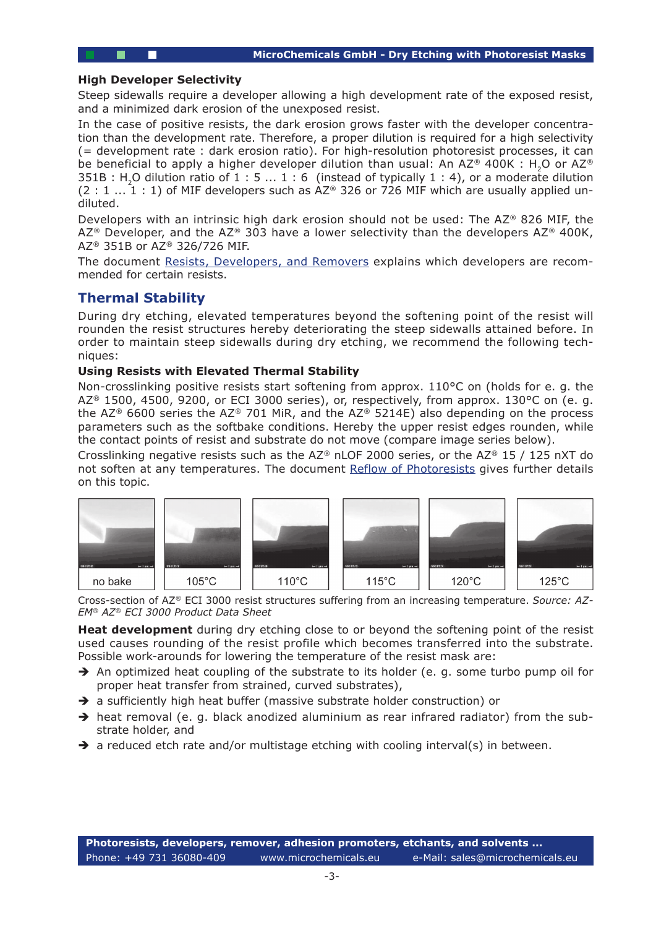#### **High Developer Selectivity**

Steep sidewalls require a developer allowing a high development rate of the exposed resist, and a minimized dark erosion of the unexposed resist.

In the case of positive resists, the dark erosion grows faster with the developer concentration than the development rate. Therefore, a proper dilution is required for a high selectivity (= development rate : dark erosion ratio). For high-resolution photoresist processes, it can be beneficial to apply a higher developer dilution than usual: An AZ® 400K : H<sub>2</sub>O or AZ®  $351B$  : H<sub>2</sub>O dilution ratio of  $1 : 5 ... 1 : 6$  (instead of typically  $1 : 4$ ), or a moderate dilution  $(2:1...1:1)$  of MIF developers such as AZ® 326 or 726 MIF which are usually applied undiluted.

Developers with an intrinsic high dark erosion should not be used: The AZ® 826 MIF, the AZ<sup>®</sup> Developer, and the AZ<sup>®</sup> 303 have a lower selectivity than the developers AZ<sup>®</sup> 400K, AZ® 351B or AZ® 326/726 MIF.

The document Resists, Developers, and Removers explains which developers are recommended for certain resists.

### **Thermal Stability**

During dry etc[hing, elevated temperatures beyon](http://www.microchemicals.eu/technical_information/resists_developers_removers.pdf)d the softening point of the resist will rounden the resist structures hereby deteriorating the steep sidewalls attained before. In order to maintain steep sidewalls during dry etching, we recommend the following techniques:

#### **Using Resists with Elevated Thermal Stability**

Non-crosslinking positive resists start softening from approx. 110°C on (holds for e. g. the AZ<sup>®</sup> 1500, 4500, 9200, or ECI 3000 series), or, respectively, from approx. 130°C on (e. g. the AZ<sup>®</sup> 6600 series the AZ<sup>®</sup> 701 MiR, and the AZ<sup>®</sup> 5214E) also depending on the process parameters such as the softbake conditions. Hereby the upper resist edges rounden, while the contact points of resist and substrate do not move (compare image series below).

Crosslinking negative resists such as the AZ® nLOF 2000 series, or the AZ® 15 / 125 nXT do not soften at any temperatures. The document Reflow of Photoresists gives further details on this topic.



Cross-section of AZ*®* ECI 3000 resist structures suffering from an increasing temperature. *Source: AZ-EM® AZ® ECI 3000 Product Data Sheet*

**Heat development** during dry etching close to or beyond the softening point of the resist used causes rounding of the resist profile which becomes transferred into the substrate. Possible work-arounds for lowering the temperature of the resist mask are:

- $\rightarrow$  An optimized heat coupling of the substrate to its holder (e. g. some turbo pump oil for proper heat transfer from strained, curved substrates),
- $\rightarrow$  a sufficiently high heat buffer (massive substrate holder construction) or
- $\rightarrow$  heat removal (e. g. black anodized aluminium as rear infrared radiator) from the substrate holder, and
- $\rightarrow$  a reduced etch rate and/or multistage etching with cooling interval(s) in between.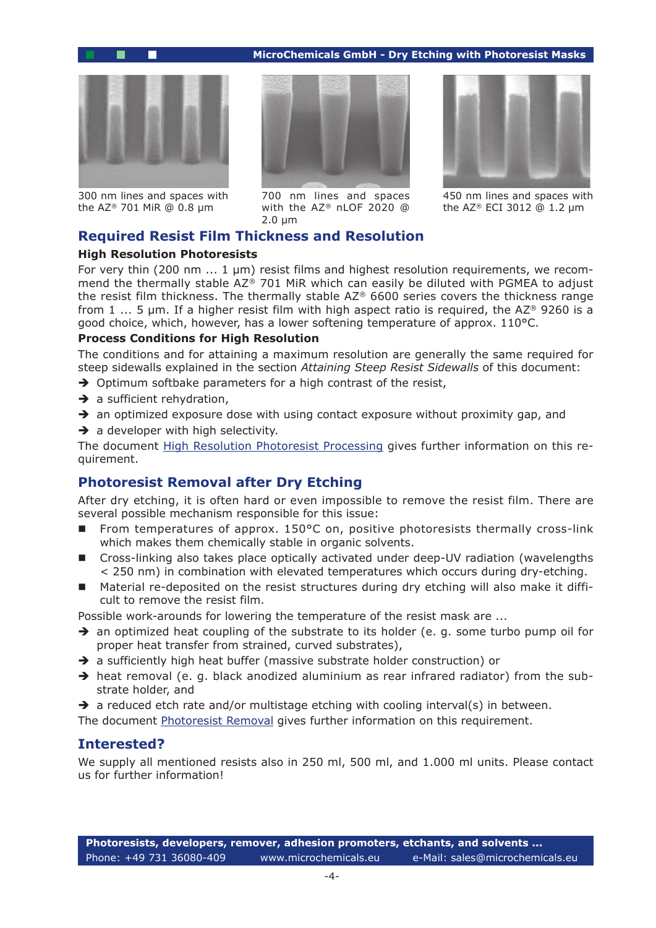#### **MicroChemicals GmbH - Dry Etching with Photoresist Masks**



300 nm lines and spaces with the AZ® 701 MiR @ 0.8 µm



700 nm lines and spaces with the AZ® nLOF 2020 @ 2.0 µm



450 nm lines and spaces with the AZ® ECI 3012 @ 1.2 µm

#### **Required Resist Film Thickness and Resolution**

#### **High Resolution Photoresists**

For very thin (200 nm ... 1 µm) resist films and highest resolution requirements, we recommend the thermally stable AZ® 701 MiR which can easily be diluted with PGMEA to adjust the resist film thickness. The thermally stable AZ® 6600 series covers the thickness range from 1 ... 5  $\mu$ m. If a higher resist film with high aspect ratio is required, the AZ® 9260 is a good choice, which, however, has a lower softening temperature of approx.  $110^{\circ}$ C.

#### **Process Conditions for High Resolution**

The conditions and for attaining a maximum resolution are generally the same required for steep sidewalls explained in the section *Attaining Steep Resist Sidewalls* of this document:

- $\rightarrow$  Optimum softbake parameters for a high contrast of the resist,
- $\rightarrow$  a sufficient rehydration,
- $\rightarrow$  an optimized exposure dose with using contact exposure without proximity gap, and
- $\rightarrow$  a developer with high selectivity.

The document High Resolution Photoresist Processing gives further information on this requirement.

## **Photoresist Removal after Dry Etching**

After dry etchi[ng, it is often hard or even impossible](http://www.microchemicals.eu/technical_information/high_resolution_photoresist_processing.pdf) to remove the resist film. There are several possible mechanism responsible for this issue:

- From temperatures of approx.  $150^{\circ}$ C on, positive photoresists thermally cross-link which makes them chemically stable in organic solvents.
- Cross-linking also takes place optically activated under deep-UV radiation (wavelengths < 250 nm) in combination with elevated temperatures which occurs during dry-etching.
- Material re-deposited on the resist structures during dry etching will also make it difficult to remove the resist film.

Possible work-arounds for lowering the temperature of the resist mask are ...

- $\rightarrow$  an optimized heat coupling of the substrate to its holder (e. g. some turbo pump oil for proper heat transfer from strained, curved substrates),
- $\rightarrow$  a sufficiently high heat buffer (massive substrate holder construction) or
- $\rightarrow$  heat removal (e. g. black anodized aluminium as rear infrared radiator) from the substrate holder, and
- $\rightarrow$  a reduced etch rate and/or multistage etching with cooling interval(s) in between.

The document Photoresist Removal gives further information on this requirement.

#### **Interested?**

We supply all mentioned resists also in 250 ml, 500 ml, and 1.000 ml units. Please contact us for further i[nformation!](http://microchemicals.net/technical_information/photoresist_removal.pdf)